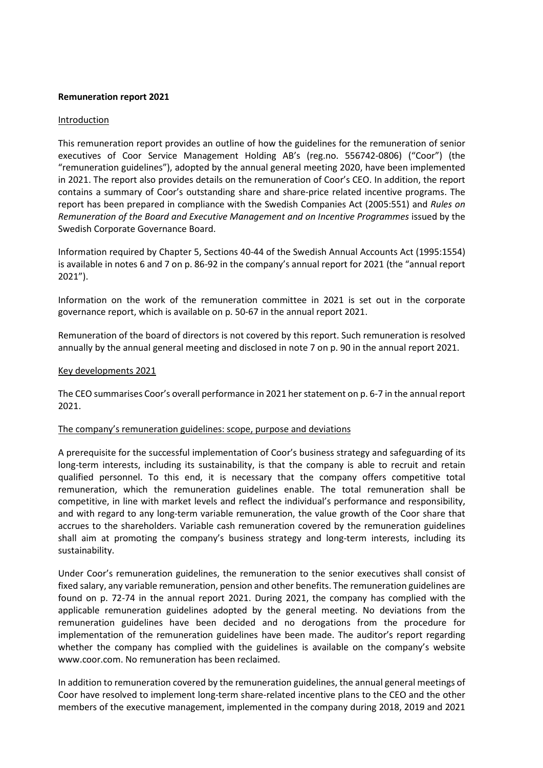#### Remuneration report 2021

#### Introduction

This remuneration report provides an outline of how the guidelines for the remuneration of senior executives of Coor Service Management Holding AB's (reg.no. 556742-0806) ("Coor") (the "remuneration guidelines"), adopted by the annual general meeting 2020, have been implemented in 2021. The report also provides details on the remuneration of Coor's CEO. In addition, the report contains a summary of Coor's outstanding share and share-price related incentive programs. The report has been prepared in compliance with the Swedish Companies Act (2005:551) and Rules on Remuneration of the Board and Executive Management and on Incentive Programmes issued by the Swedish Corporate Governance Board.

Information required by Chapter 5, Sections 40-44 of the Swedish Annual Accounts Act (1995:1554) is available in notes 6 and 7 on p. 86-92 in the company's annual report for 2021 (the "annual report 2021").

Information on the work of the remuneration committee in 2021 is set out in the corporate governance report, which is available on p. 50-67 in the annual report 2021.

Remuneration of the board of directors is not covered by this report. Such remuneration is resolved annually by the annual general meeting and disclosed in note 7 on p. 90 in the annual report 2021.

#### Key developments 2021

The CEO summarises Coor's overall performance in 2021 her statement on p. 6-7 in the annual report 2021.

## The company's remuneration guidelines: scope, purpose and deviations

A prerequisite for the successful implementation of Coor's business strategy and safeguarding of its long-term interests, including its sustainability, is that the company is able to recruit and retain qualified personnel. To this end, it is necessary that the company offers competitive total remuneration, which the remuneration guidelines enable. The total remuneration shall be competitive, in line with market levels and reflect the individual's performance and responsibility, and with regard to any long-term variable remuneration, the value growth of the Coor share that accrues to the shareholders. Variable cash remuneration covered by the remuneration guidelines shall aim at promoting the company's business strategy and long-term interests, including its sustainability.

Under Coor's remuneration guidelines, the remuneration to the senior executives shall consist of fixed salary, any variable remuneration, pension and other benefits. The remuneration guidelines are found on p. 72-74 in the annual report 2021. During 2021, the company has complied with the applicable remuneration guidelines adopted by the general meeting. No deviations from the remuneration guidelines have been decided and no derogations from the procedure for implementation of the remuneration guidelines have been made. The auditor's report regarding whether the company has complied with the guidelines is available on the company's website www.coor.com. No remuneration has been reclaimed.

In addition to remuneration covered by the remuneration guidelines, the annual general meetings of Coor have resolved to implement long-term share-related incentive plans to the CEO and the other members of the executive management, implemented in the company during 2018, 2019 and 2021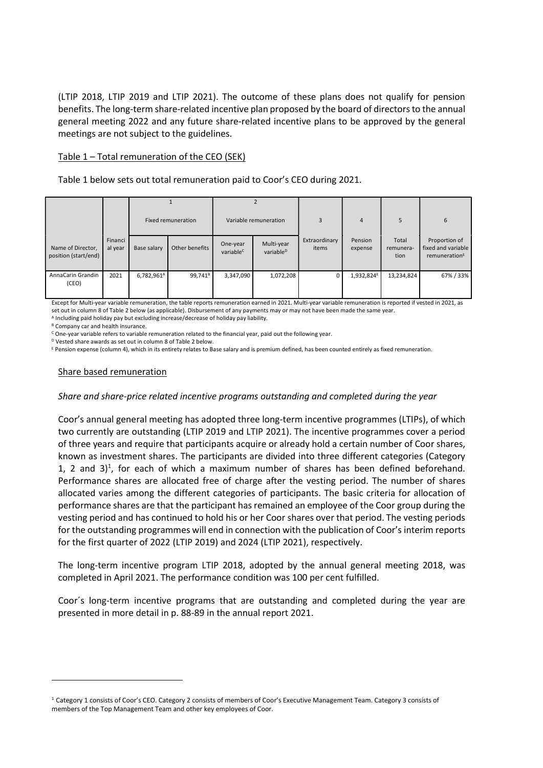(LTIP 2018, LTIP 2019 and LTIP 2021). The outcome of these plans does not qualify for pension benefits. The long-term share-related incentive plan proposed by the board of directors to the annual general meeting 2022 and any future share-related incentive plans to be approved by the general meetings are not subject to the guidelines.

### Table 1 – Total remuneration of the CEO (SEK)

Table 1 below sets out total remuneration paid to Coor's CEO during 2021.

|                                           |                    | Fixed remuneration     |                     | Variable remuneration             |                                     | 3                      | $\overline{4}$         | 5                          | 6                                                                |
|-------------------------------------------|--------------------|------------------------|---------------------|-----------------------------------|-------------------------------------|------------------------|------------------------|----------------------------|------------------------------------------------------------------|
| Name of Director,<br>position (start/end) | Financi<br>al year | Base salary            | Other benefits      | One-year<br>variable <sup>C</sup> | Multi-year<br>variable <sup>D</sup> | Extraordinary<br>items | Pension<br>expense     | Total<br>remunera-<br>tion | Proportion of<br>fixed and variable<br>remuneration <sup>E</sup> |
| AnnaCarin Grandin<br>(CEO)                | 2021               | 6,782,961 <sup>A</sup> | 99,741 <sup>B</sup> | 3,347,090                         | 1,072,208                           |                        | 1,932,824 <sup>E</sup> | 13,234,824                 | 67% / 33%                                                        |

Except for Multi-year variable remuneration, the table reports remuneration earned in 2021. Multi-year variable remuneration is reported if vested in 2021, as set out in column 8 of Table 2 below (as applicable). Disbursement of any payments may or may not have been made the same year.

A Including paid holiday pay but excluding increase/decrease of holiday pay liability.

<sup>B</sup> Company car and health insurance.

<sup>c</sup> One-year variable refers to variable remuneration related to the financial year, paid out the following year.

<sup>D</sup> Vested share awards as set out in column 8 of Table 2 below.

E Pension expense (column 4), which in its entirety relates to Base salary and is premium defined, has been counted entirely as fixed remuneration.

## Share based remuneration

## Share and share-price related incentive programs outstanding and completed during the year

Coor's annual general meeting has adopted three long-term incentive programmes (LTIPs), of which two currently are outstanding (LTIP 2019 and LTIP 2021). The incentive programmes cover a period of three years and require that participants acquire or already hold a certain number of Coor shares, known as investment shares. The participants are divided into three different categories (Category 1, 2 and  $3$ <sup>1</sup>, for each of which a maximum number of shares has been defined beforehand. Performance shares are allocated free of charge after the vesting period. The number of shares allocated varies among the different categories of participants. The basic criteria for allocation of performance shares are that the participant has remained an employee of the Coor group during the vesting period and has continued to hold his or her Coor shares over that period. The vesting periods for the outstanding programmes will end in connection with the publication of Coor's interim reports for the first quarter of 2022 (LTIP 2019) and 2024 (LTIP 2021), respectively.

The long-term incentive program LTIP 2018, adopted by the annual general meeting 2018, was completed in April 2021. The performance condition was 100 per cent fulfilled.

Coor´s long-term incentive programs that are outstanding and completed during the year are presented in more detail in p. 88-89 in the annual report 2021.

<sup>1</sup> Category 1 consists of Coor's CEO. Category 2 consists of members of Coor's Executive Management Team. Category 3 consists of members of the Top Management Team and other key employees of Coor.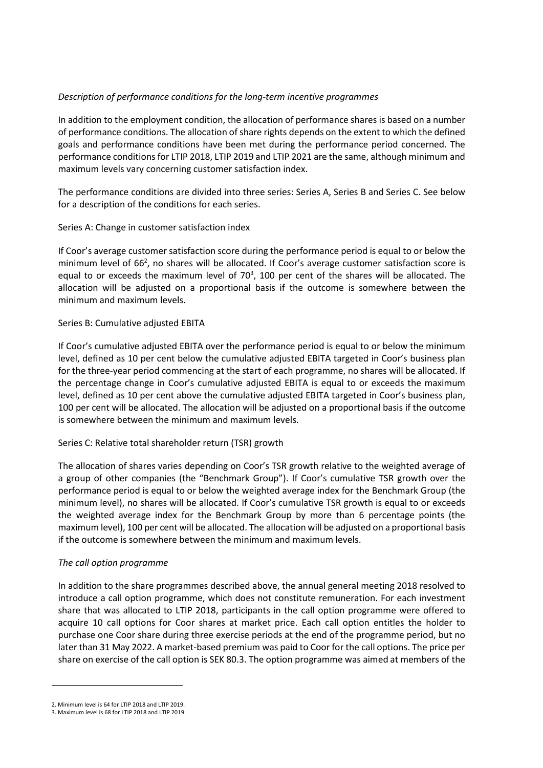# Description of performance conditions for the long-term incentive programmes

In addition to the employment condition, the allocation of performance shares is based on a number of performance conditions. The allocation of share rights depends on the extent to which the defined goals and performance conditions have been met during the performance period concerned. The performance conditions for LTIP 2018, LTIP 2019 and LTIP 2021 are the same, although minimum and maximum levels vary concerning customer satisfaction index.

The performance conditions are divided into three series: Series A, Series B and Series C. See below for a description of the conditions for each series.

# Series A: Change in customer satisfaction index

If Coor's average customer satisfaction score during the performance period is equal to or below the minimum level of 66<sup>2</sup>, no shares will be allocated. If Coor's average customer satisfaction score is equal to or exceeds the maximum level of  $70<sup>3</sup>$ , 100 per cent of the shares will be allocated. The allocation will be adjusted on a proportional basis if the outcome is somewhere between the minimum and maximum levels.

## Series B: Cumulative adjusted EBITA

If Coor's cumulative adjusted EBITA over the performance period is equal to or below the minimum level, defined as 10 per cent below the cumulative adjusted EBITA targeted in Coor's business plan for the three-year period commencing at the start of each programme, no shares will be allocated. If the percentage change in Coor's cumulative adjusted EBITA is equal to or exceeds the maximum level, defined as 10 per cent above the cumulative adjusted EBITA targeted in Coor's business plan, 100 per cent will be allocated. The allocation will be adjusted on a proportional basis if the outcome is somewhere between the minimum and maximum levels.

## Series C: Relative total shareholder return (TSR) growth

The allocation of shares varies depending on Coor's TSR growth relative to the weighted average of a group of other companies (the "Benchmark Group"). If Coor's cumulative TSR growth over the performance period is equal to or below the weighted average index for the Benchmark Group (the minimum level), no shares will be allocated. If Coor's cumulative TSR growth is equal to or exceeds the weighted average index for the Benchmark Group by more than 6 percentage points (the maximum level), 100 per cent will be allocated. The allocation will be adjusted on a proportional basis if the outcome is somewhere between the minimum and maximum levels.

## The call option programme

In addition to the share programmes described above, the annual general meeting 2018 resolved to introduce a call option programme, which does not constitute remuneration. For each investment share that was allocated to LTIP 2018, participants in the call option programme were offered to acquire 10 call options for Coor shares at market price. Each call option entitles the holder to purchase one Coor share during three exercise periods at the end of the programme period, but no later than 31 May 2022. A market-based premium was paid to Coor for the call options. The price per share on exercise of the call option is SEK 80.3. The option programme was aimed at members of the

<sup>2.</sup> Minimum level is 64 for LTIP 2018 and LTIP 2019.

<sup>3.</sup> Maximum level is 68 for LTIP 2018 and LTIP 2019.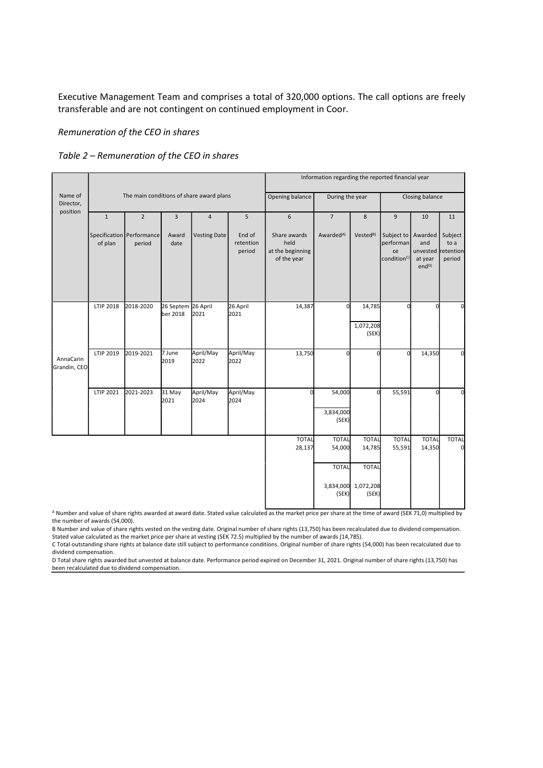Executive Management Team and comprises a total of 320,000 options. The call options are freely transferable and are not contingent on continued employment in Coor.

Remuneration of the CEO in shares

# Table 2 – Remuneration of the CEO in shares

|                           |                                          |                                     |                       |                     | Information regarding the reported financial year |                                                         |                              |                                              |                                                                      |                                                   |                           |
|---------------------------|------------------------------------------|-------------------------------------|-----------------------|---------------------|---------------------------------------------------|---------------------------------------------------------|------------------------------|----------------------------------------------|----------------------------------------------------------------------|---------------------------------------------------|---------------------------|
| Name of<br>Director,      | The main conditions of share award plans |                                     |                       |                     |                                                   | Opening balance                                         | During the year              |                                              |                                                                      | Closing balance                                   |                           |
| position                  | $1\,$                                    | $\overline{2}$                      | 3                     | $\overline{4}$      | 5                                                 | 6                                                       | $\overline{7}$               | $\bf 8$                                      | 9                                                                    | 10                                                | 11                        |
|                           | of plan                                  | Specification Performance<br>period | Award<br>date         | <b>Vesting Date</b> | End of<br>retention<br>period                     | Share awards<br>held<br>at the beginning<br>of the year | Awarded <sup>A)</sup>        | Vested <sup>B)</sup>                         | Subject to   Awarded  <br>performan<br>ce<br>condition <sup>C)</sup> | and<br>unvested retention<br>at year<br>$end^{D}$ | Subject<br>to a<br>period |
|                           | LTIP 2018                                | 2018-2020                           | 26 Septem<br>ber 2018 | 26 April<br>2021    | 26 April<br>2021                                  | 14,387                                                  | $\Omega$                     | 14,785<br>1,072,208<br>(SEK)                 | <sub>0</sub>                                                         | $\Omega$                                          | O                         |
| AnnaCarin<br>Grandin, CEO | LTIP 2019                                | 2019-2021                           | 7 June<br>2019        | April/May<br>2022   | April/May<br>2022                                 | 13,750                                                  | $\Omega$                     | $\Omega$                                     | ΩI                                                                   | 14,350                                            | $\Omega$                  |
|                           | LTIP 2021                                | 2021-2023                           | 31 May<br>2021        | April/May<br>2024   | April/May<br>2024                                 | $\mathbf 0$                                             | 54,000<br>3,834,000<br>(SEK) | $\Omega$                                     | 55,591                                                               | $\Omega$                                          | $\Omega$                  |
|                           |                                          |                                     |                       |                     |                                                   | <b>TOTAL</b><br>28,137                                  | <b>TOTAL</b><br>54,000       | <b>TOTAL</b><br>14,785                       | <b>TOTAL</b><br>55,591                                               | <b>TOTAL</b><br>14,350                            | <b>TOTAL</b>              |
|                           |                                          |                                     |                       |                     |                                                   |                                                         | <b>TOTAL</b><br>(SEK)        | <b>TOTAL</b><br>3,834,000 1,072,208<br>(SEK) |                                                                      |                                                   |                           |

A Number and value of share rights awarded at award date. Stated value calculated as the market price per share at the time of award (SEK 71,0) multiplied by the number of awards (54,000).

B Number and value of share rights vested on the vesting date. Original number of share rights (13,750) has been recalculated due to dividend compensation. Stated value calculated as the market price per share at vesting (SEK 72.5) multiplied by the number of awards (14,785).

C Total outstanding share rights at balance date still subject to performance conditions. Original number of share rights (54,000) has been recalculated due to dividend compensation.

D Total share rights awarded but unvested at balance date. Performance period expired on December 31, 2021. Original number of share rights (13,750) has been recalculated due to dividend compensation.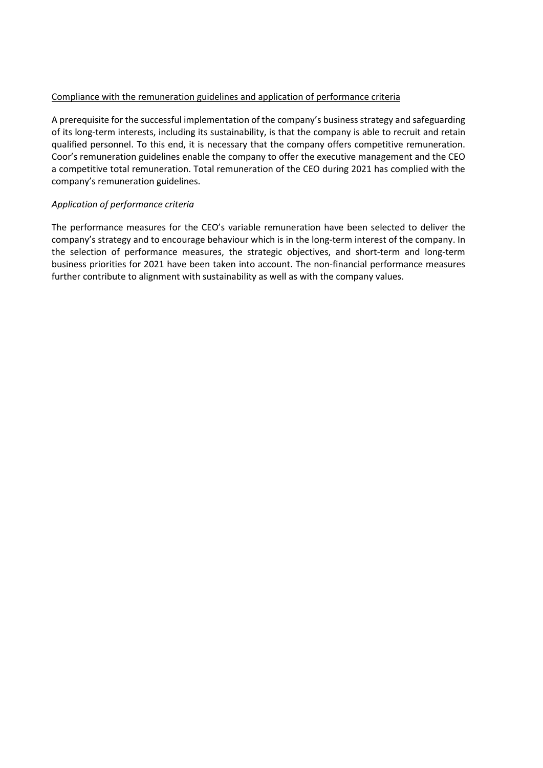## Compliance with the remuneration guidelines and application of performance criteria

A prerequisite for the successful implementation of the company's business strategy and safeguarding of its long-term interests, including its sustainability, is that the company is able to recruit and retain qualified personnel. To this end, it is necessary that the company offers competitive remuneration. Coor's remuneration guidelines enable the company to offer the executive management and the CEO a competitive total remuneration. Total remuneration of the CEO during 2021 has complied with the company's remuneration guidelines.

# Application of performance criteria

The performance measures for the CEO's variable remuneration have been selected to deliver the company's strategy and to encourage behaviour which is in the long-term interest of the company. In the selection of performance measures, the strategic objectives, and short-term and long-term business priorities for 2021 have been taken into account. The non-financial performance measures further contribute to alignment with sustainability as well as with the company values.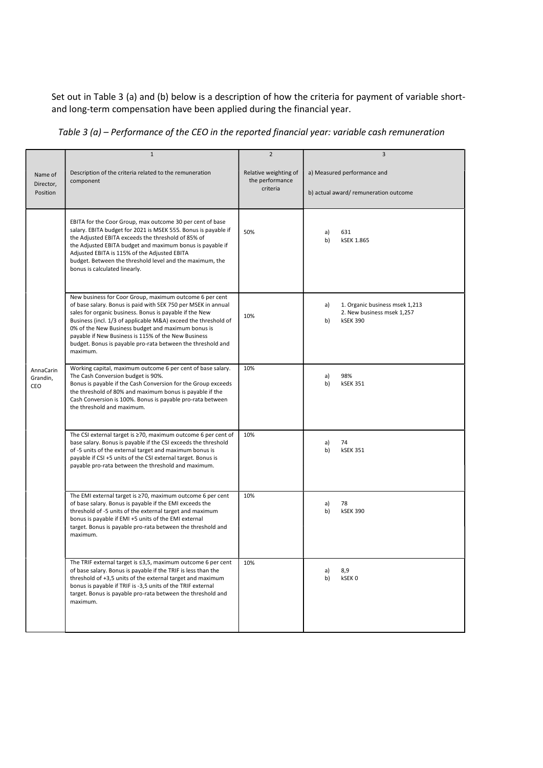Set out in Table 3 (a) and (b) below is a description of how the criteria for payment of variable shortand long-term compensation have been applied during the financial year.

Table 3 (a) – Performance of the CEO in the reported financial year: variable cash remuneration

|                                  | $\mathbf{1}$                                                                                                                                                                                                                                                                                                                                                                                                                                  | $\overline{2}$                                       | 3                                                                                           |
|----------------------------------|-----------------------------------------------------------------------------------------------------------------------------------------------------------------------------------------------------------------------------------------------------------------------------------------------------------------------------------------------------------------------------------------------------------------------------------------------|------------------------------------------------------|---------------------------------------------------------------------------------------------|
| Name of<br>Director,<br>Position | Description of the criteria related to the remuneration<br>component                                                                                                                                                                                                                                                                                                                                                                          | Relative weighting of<br>the performance<br>criteria | a) Measured performance and<br>b) actual award/remuneration outcome                         |
|                                  | EBITA for the Coor Group, max outcome 30 per cent of base<br>salary. EBITA budget for 2021 is MSEK 555. Bonus is payable if<br>the Adjusted EBITA exceeds the threshold of 85% of<br>the Adjusted EBITA budget and maximum bonus is payable if<br>Adjusted EBITA is 115% of the Adjusted EBITA<br>budget. Between the threshold level and the maximum, the<br>bonus is calculated linearly.                                                   | 50%                                                  | 631<br>a)<br><b>kSEK 1.865</b><br>b)                                                        |
|                                  | New business for Coor Group, maximum outcome 6 per cent<br>of base salary. Bonus is paid with SEK 750 per MSEK in annual<br>sales for organic business. Bonus is payable if the New<br>Business (incl. 1/3 of applicable M&A) exceed the threshold of<br>0% of the New Business budget and maximum bonus is<br>payable if New Business is 115% of the New Business<br>budget. Bonus is payable pro-rata between the threshold and<br>maximum. | 10%                                                  | 1. Organic business msek 1,213<br>a)<br>2. New business msek 1,257<br>b)<br><b>kSEK 390</b> |
| AnnaCarin<br>Grandin,<br>CEO     | Working capital, maximum outcome 6 per cent of base salary.<br>The Cash Conversion budget is 90%.<br>Bonus is payable if the Cash Conversion for the Group exceeds<br>the threshold of 80% and maximum bonus is payable if the<br>Cash Conversion is 100%. Bonus is payable pro-rata between<br>the threshold and maximum.                                                                                                                    | 10%                                                  | 98%<br>a)<br>b)<br><b>kSEK 351</b>                                                          |
|                                  | The CSI external target is $\geq$ 70, maximum outcome 6 per cent of<br>base salary. Bonus is payable if the CSI exceeds the threshold<br>of -5 units of the external target and maximum bonus is<br>payable if CSI +5 units of the CSI external target. Bonus is<br>payable pro-rata between the threshold and maximum.                                                                                                                       | 10%                                                  | a)<br>74<br><b>kSEK 351</b><br>b)                                                           |
|                                  | The EMI external target is ≥70, maximum outcome 6 per cent<br>of base salary. Bonus is payable if the EMI exceeds the<br>threshold of -5 units of the external target and maximum<br>bonus is payable if EMI +5 units of the EMI external<br>target. Bonus is payable pro-rata between the threshold and<br>maximum.                                                                                                                          | 10%                                                  | 78<br>a)<br><b>kSEK 390</b><br>b)                                                           |
|                                  | The TRIF external target is ≤3,5, maximum outcome 6 per cent<br>of base salary. Bonus is payable if the TRIF is less than the<br>threshold of +3,5 units of the external target and maximum<br>bonus is payable if TRIF is -3,5 units of the TRIF external<br>target. Bonus is payable pro-rata between the threshold and<br>maximum.                                                                                                         | 10%                                                  | 8,9<br>a)<br>kSEK0<br>b)                                                                    |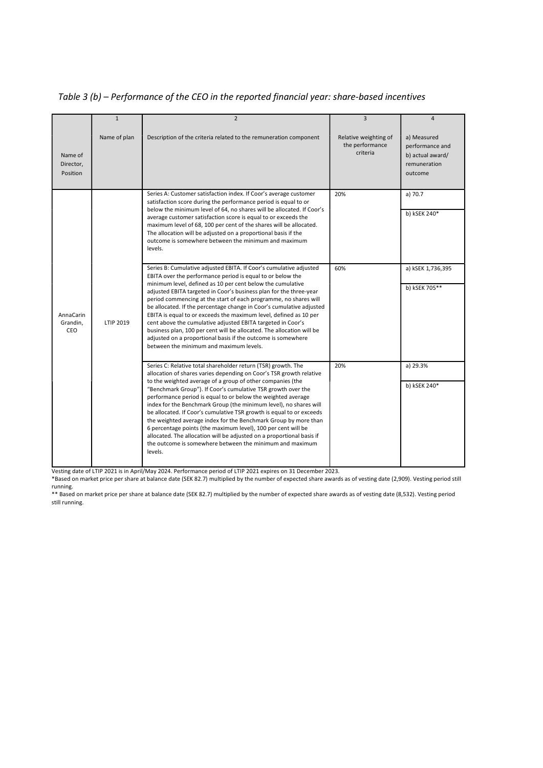Table 3 (b) – Performance of the CEO in the reported financial year: share-based incentives

|                                     | $\mathbf{1}$ | $\overline{2}$                                                                                                                                                                                                                                                                                                                                                                                                                                                                                                                                                                                                                                                                                                                                                      | $\overline{3}$                                       | $\overline{4}$                                                                |
|-------------------------------------|--------------|---------------------------------------------------------------------------------------------------------------------------------------------------------------------------------------------------------------------------------------------------------------------------------------------------------------------------------------------------------------------------------------------------------------------------------------------------------------------------------------------------------------------------------------------------------------------------------------------------------------------------------------------------------------------------------------------------------------------------------------------------------------------|------------------------------------------------------|-------------------------------------------------------------------------------|
| Name of<br>Director.<br>Position    | Name of plan | Description of the criteria related to the remuneration component                                                                                                                                                                                                                                                                                                                                                                                                                                                                                                                                                                                                                                                                                                   | Relative weighting of<br>the performance<br>criteria | a) Measured<br>performance and<br>b) actual award/<br>remuneration<br>outcome |
|                                     |              | Series A: Customer satisfaction index. If Coor's average customer<br>satisfaction score during the performance period is equal to or<br>below the minimum level of 64, no shares will be allocated. If Coor's<br>average customer satisfaction score is equal to or exceeds the<br>maximum level of 68, 100 per cent of the shares will be allocated.<br>The allocation will be adjusted on a proportional basis if the<br>outcome is somewhere between the minimum and maximum<br>levels.                                                                                                                                                                                                                                                                          | 20%                                                  | a) 70.7<br>b) kSEK 240*                                                       |
| <b>AnnaCarin</b><br>Grandin.<br>CEO | LTIP 2019    | Series B: Cumulative adjusted EBITA. If Coor's cumulative adjusted<br>EBITA over the performance period is equal to or below the<br>minimum level, defined as 10 per cent below the cumulative<br>adjusted EBITA targeted in Coor's business plan for the three-year<br>period commencing at the start of each programme, no shares will<br>be allocated. If the percentage change in Coor's cumulative adjusted<br>EBITA is equal to or exceeds the maximum level, defined as 10 per<br>cent above the cumulative adjusted EBITA targeted in Coor's<br>business plan, 100 per cent will be allocated. The allocation will be<br>adjusted on a proportional basis if the outcome is somewhere<br>between the minimum and maximum levels.                            | 60%                                                  | a) kSEK 1,736,395<br>b) kSEK 705**                                            |
|                                     |              | Series C: Relative total shareholder return (TSR) growth. The<br>allocation of shares varies depending on Coor's TSR growth relative<br>to the weighted average of a group of other companies (the<br>"Benchmark Group"). If Coor's cumulative TSR growth over the<br>performance period is equal to or below the weighted average<br>index for the Benchmark Group (the minimum level), no shares will<br>be allocated. If Coor's cumulative TSR growth is equal to or exceeds<br>the weighted average index for the Benchmark Group by more than<br>6 percentage points (the maximum level), 100 per cent will be<br>allocated. The allocation will be adjusted on a proportional basis if<br>the outcome is somewhere between the minimum and maximum<br>levels. | 20%                                                  | a) 29.3%<br>b) kSEK 240*                                                      |

Vesting date of LTIP 2021 is in April/May 2024. Performance period of LTIP 2021 expires on 31 December 2023.

\*Based on market price per share at balance date (SEK 82.7) multiplied by the number of expected share awards as of vesting date (2,909). Vesting period still running.

\*\* Based on market price per share at balance date (SEK 82.7) multiplied by the number of expected share awards as of vesting date (8,532). Vesting period still running.